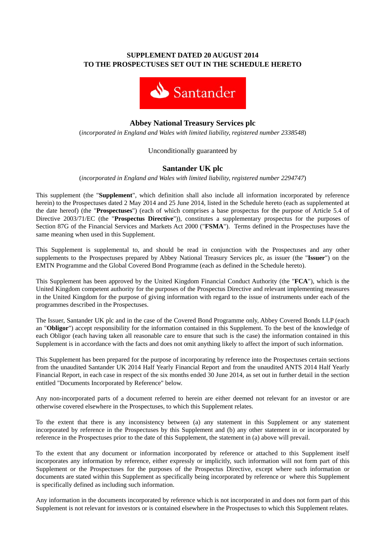## **SUPPLEMENT DATED 20 AUGUST 2014 TO THE PROSPECTUSES SET OUT IN THE SCHEDULE HERETO**



# **Abbey National Treasury Services plc**

(*incorporated in England and Wales with limited liability, registered number 2338548*)

## Unconditionally guaranteed by

## **Santander UK plc**

(*incorporated in England and Wales with limited liability, registered number 2294747*)

This supplement (the "**Supplement**", which definition shall also include all information incorporated by reference herein) to the Prospectuses dated 2 May 2014 and 25 June 2014, listed in the Schedule hereto (each as supplemented at the date hereof) (the "**Prospectuses**") (each of which comprises a base prospectus for the purpose of Article 5.4 of Directive 2003/71/EC (the "**Prospectus Directive**")), constitutes a supplementary prospectus for the purposes of Section 87G of the Financial Services and Markets Act 2000 ("**FSMA**"). Terms defined in the Prospectuses have the same meaning when used in this Supplement.

This Supplement is supplemental to, and should be read in conjunction with the Prospectuses and any other supplements to the Prospectuses prepared by Abbey National Treasury Services plc, as issuer (the "**Issuer**") on the EMTN Programme and the Global Covered Bond Programme (each as defined in the Schedule hereto).

This Supplement has been approved by the United Kingdom Financial Conduct Authority (the "**FCA**"), which is the United Kingdom competent authority for the purposes of the Prospectus Directive and relevant implementing measures in the United Kingdom for the purpose of giving information with regard to the issue of instruments under each of the programmes described in the Prospectuses.

The Issuer, Santander UK plc and in the case of the Covered Bond Programme only, Abbey Covered Bonds LLP (each an "**Obligor**") accept responsibility for the information contained in this Supplement. To the best of the knowledge of each Obligor (each having taken all reasonable care to ensure that such is the case) the information contained in this Supplement is in accordance with the facts and does not omit anything likely to affect the import of such information.

This Supplement has been prepared for the purpose of incorporating by reference into the Prospectuses certain sections from the unaudited Santander UK 2014 Half Yearly Financial Report and from the unaudited ANTS 2014 Half Yearly Financial Report, in each case in respect of the six months ended 30 June 2014, as set out in further detail in the section entitled "Documents Incorporated by Reference" below.

Any non-incorporated parts of a document referred to herein are either deemed not relevant for an investor or are otherwise covered elsewhere in the Prospectuses, to which this Supplement relates.

To the extent that there is any inconsistency between (a) any statement in this Supplement or any statement incorporated by reference in the Prospectuses by this Supplement and (b) any other statement in or incorporated by reference in the Prospectuses prior to the date of this Supplement, the statement in (a) above will prevail.

To the extent that any document or information incorporated by reference or attached to this Supplement itself incorporates any information by reference, either expressly or implicitly, such information will not form part of this Supplement or the Prospectuses for the purposes of the Prospectus Directive, except where such information or documents are stated within this Supplement as specifically being incorporated by reference or where this Supplement is specifically defined as including such information.

Any information in the documents incorporated by reference which is not incorporated in and does not form part of this Supplement is not relevant for investors or is contained elsewhere in the Prospectuses to which this Supplement relates.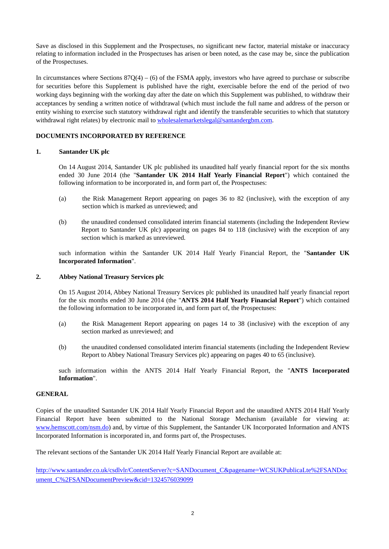Save as disclosed in this Supplement and the Prospectuses, no significant new factor, material mistake or inaccuracy relating to information included in the Prospectuses has arisen or been noted, as the case may be, since the publication of the Prospectuses.

In circumstances where Sections  $87Q(4) - (6)$  of the FSMA apply, investors who have agreed to purchase or subscribe for securities before this Supplement is published have the right, exercisable before the end of the period of two working days beginning with the working day after the date on which this Supplement was published, to withdraw their acceptances by sending a written notice of withdrawal (which must include the full name and address of the person or entity wishing to exercise such statutory withdrawal right and identify the transferable securities to which that statutory withdrawal right relates) by electronic mail to wholesalemarketslegal@santandergbm.com.

### **DOCUMENTS INCORPORATED BY REFERENCE**

#### **1. Santander UK plc**

On 14 August 2014, Santander UK plc published its unaudited half yearly financial report for the six months ended 30 June 2014 (the "**Santander UK 2014 Half Yearly Financial Report**") which contained the following information to be incorporated in, and form part of, the Prospectuses:

- (a) the Risk Management Report appearing on pages 36 to 82 (inclusive), with the exception of any section which is marked as unreviewed; and
- (b) the unaudited condensed consolidated interim financial statements (including the Independent Review Report to Santander UK plc) appearing on pages 84 to 118 (inclusive) with the exception of any section which is marked as unreviewed.

such information within the Santander UK 2014 Half Yearly Financial Report, the "**Santander UK Incorporated Information**".

#### **2. Abbey National Treasury Services plc**

On 15 August 2014, Abbey National Treasury Services plc published its unaudited half yearly financial report for the six months ended 30 June 2014 (the "**ANTS 2014 Half Yearly Financial Report**") which contained the following information to be incorporated in, and form part of, the Prospectuses:

- (a) the Risk Management Report appearing on pages 14 to 38 (inclusive) with the exception of any section marked as unreviewed; and
- (b) the unaudited condensed consolidated interim financial statements (including the Independent Review Report to Abbey National Treasury Services plc) appearing on pages 40 to 65 (inclusive).

such information within the ANTS 2014 Half Yearly Financial Report, the "**ANTS Incorporated Information**".

#### **GENERAL**

Copies of the unaudited Santander UK 2014 Half Yearly Financial Report and the unaudited ANTS 2014 Half Yearly Financial Report have been submitted to the National Storage Mechanism (available for viewing at: www.hemscott.com/nsm.do) and, by virtue of this Supplement, the Santander UK Incorporated Information and ANTS Incorporated Information is incorporated in, and forms part of, the Prospectuses.

The relevant sections of the Santander UK 2014 Half Yearly Financial Report are available at:

http://www.santander.co.uk/csdlvlr/ContentServer?c=SANDocument\_C&pagename=WCSUKPublicaLte%2FSANDoc ument\_C%2FSANDocumentPreview&cid=1324576039099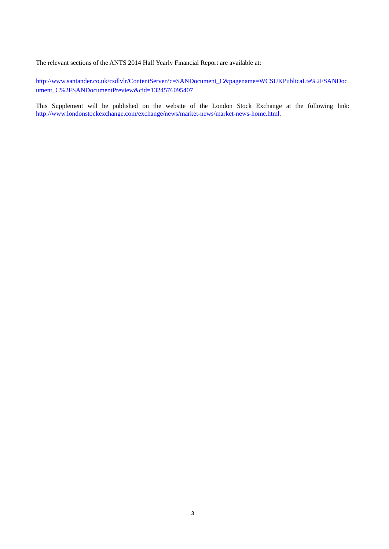The relevant sections of the ANTS 2014 Half Yearly Financial Report are available at:

http://www.santander.co.uk/csdlvlr/ContentServer?c=SANDocument\_C&pagename=WCSUKPublicaLte%2FSANDoc ument\_C%2FSANDocumentPreview&cid=1324576095407

This Supplement will be published on the website of the London Stock Exchange at the following link: http://www.londonstockexchange.com/exchange/news/market-news/market-news-home.html.